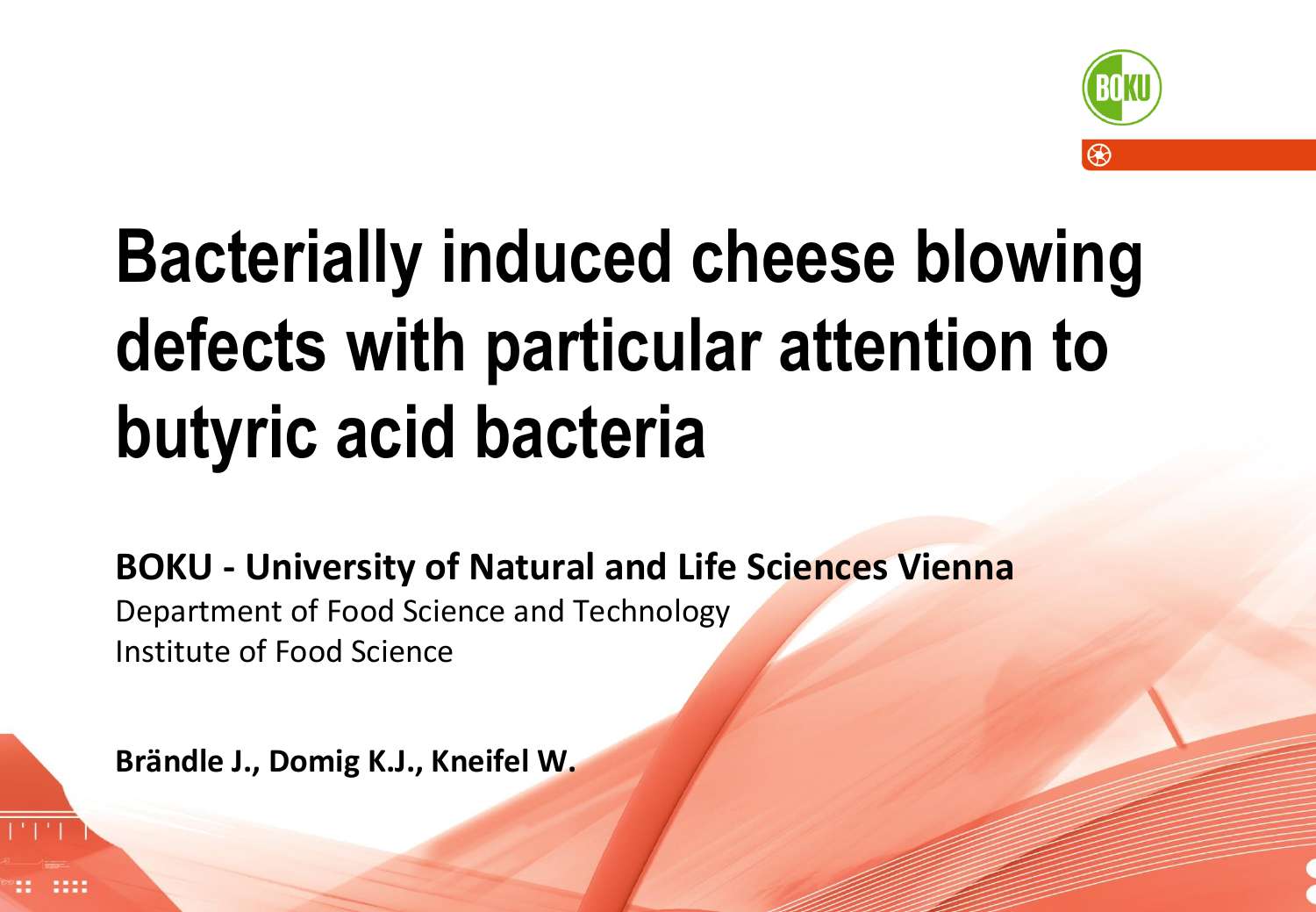

# **Bacterially induced cheese blowing defects with particular attention to butyric acid bacteria**

**BOKU - University of Natural and Life Sciences Vienna** Department of Food Science and Technology Institute of Food Science

**1** Young train dairy innovative research, 66th EAAP annual meeting, 31.08.-04.09.2015, Warsaw

**Brändle J., Domig K.J., Kneifel W.**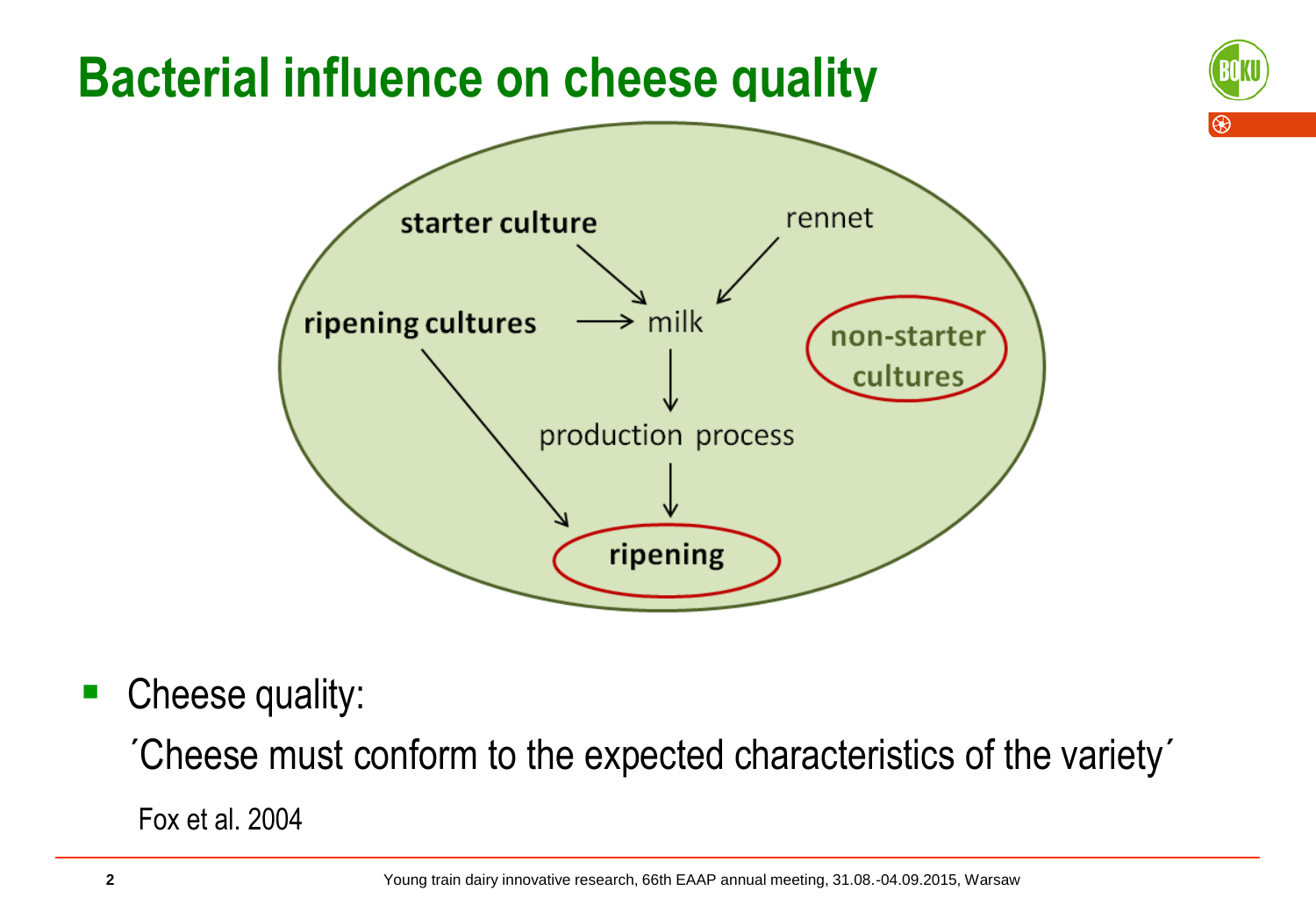## **Bacterial influence on cheese quality**





• Cheese quality:

´Cheese must conform to the expected characteristics of the variety´

Fox et al. 2004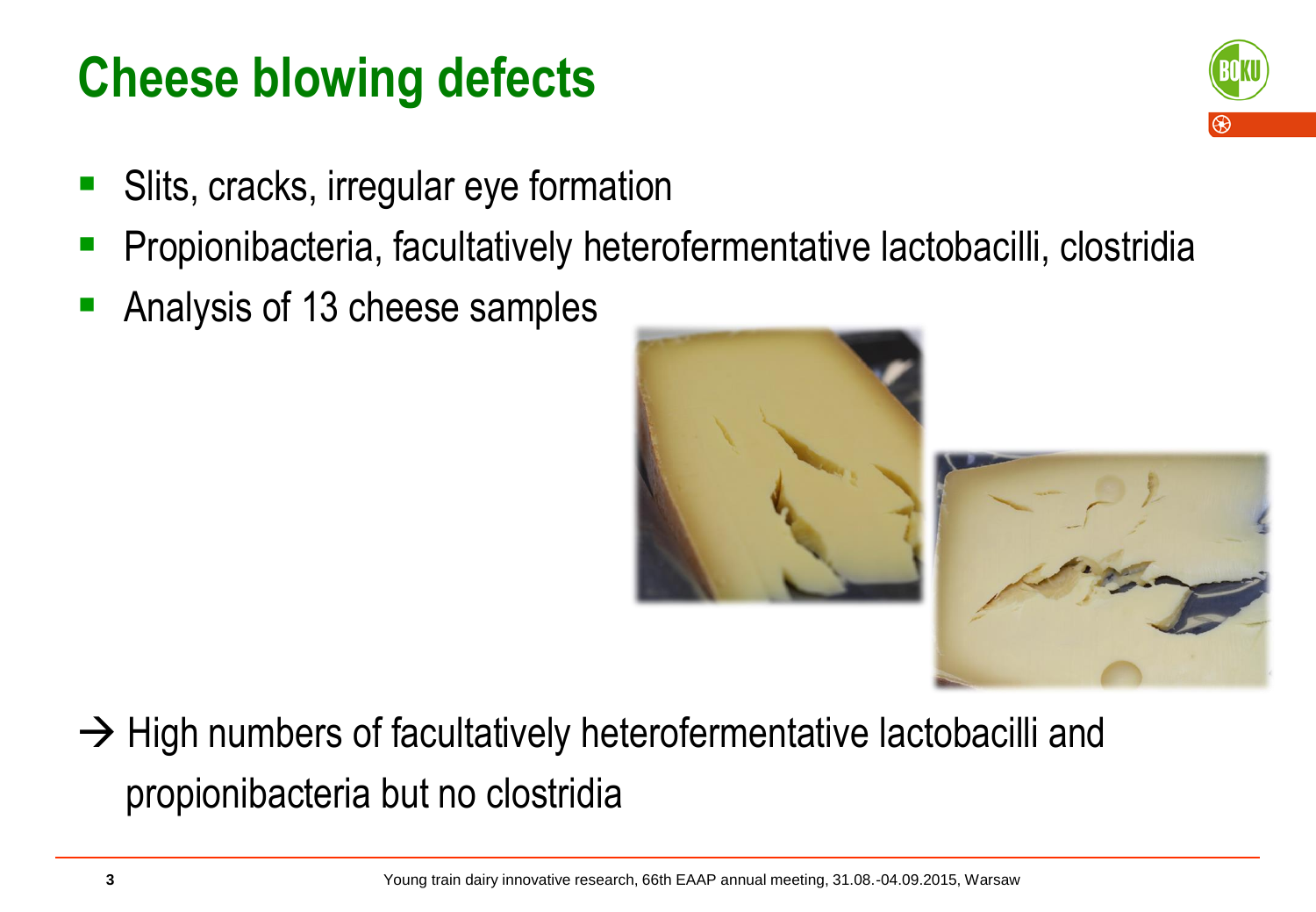#### **Cheese blowing defects**



- Slits, cracks, irregular eye formation
- Propionibacteria, facultatively heterofermentative lactobacilli, clostridia
- Analysis of 13 cheese samples



 $\rightarrow$  High numbers of facultatively heterofermentative lactobacilli and propionibacteria but no clostridia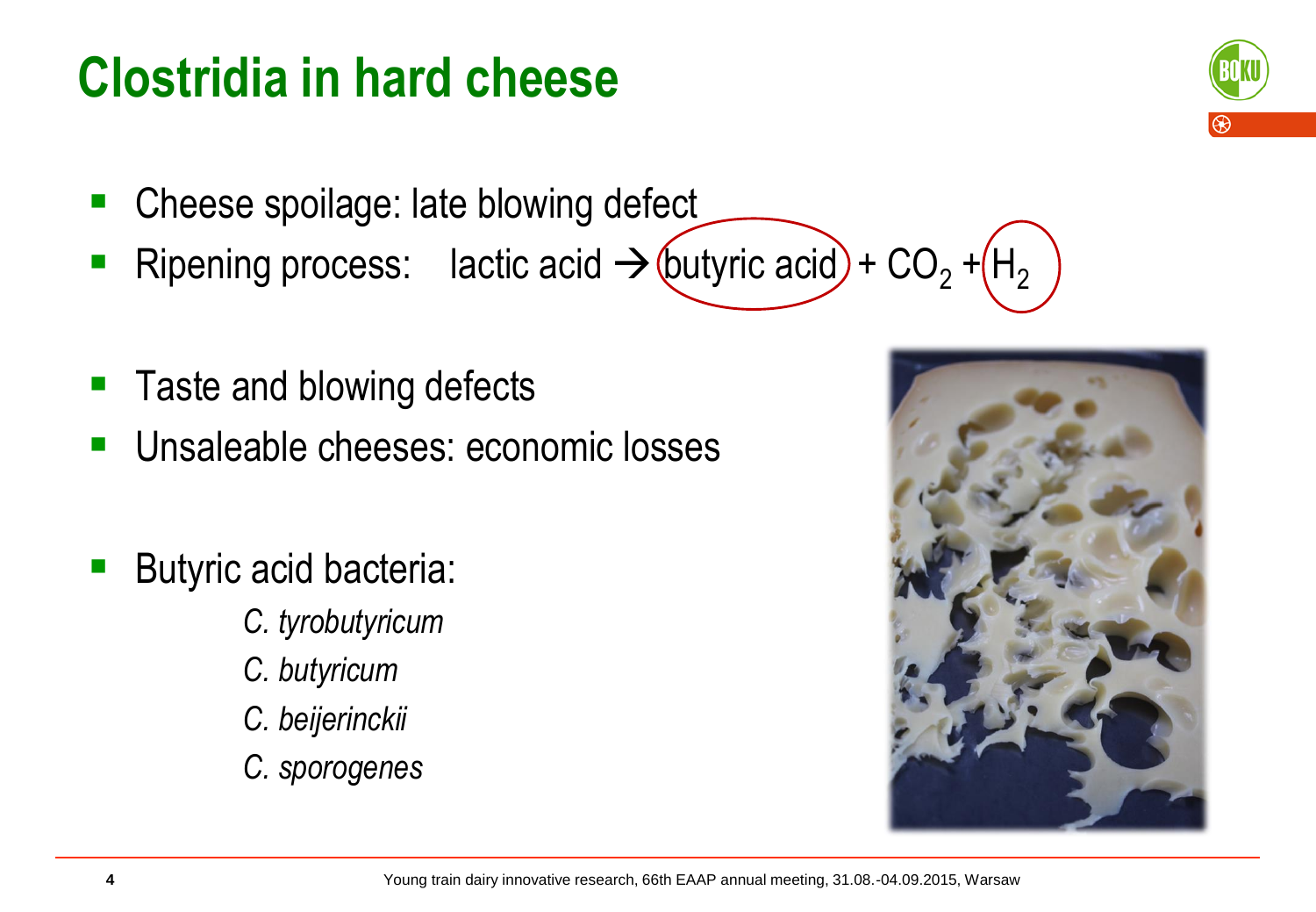#### **Clostridia in hard cheese**

- Cheese spoilage: late blowing defect
- Ripening process: lactic acid  $\rightarrow$  (butyric acid) + CO<sub>2</sub> + (H<sub>2</sub>
- Taste and blowing defects
- **Unsaleable cheeses: economic losses**
- Butyric acid bacteria:
	- *C. tyrobutyricum*
	- *C. butyricum*
	- *C. beijerinckii*
	- *C. sporogenes*



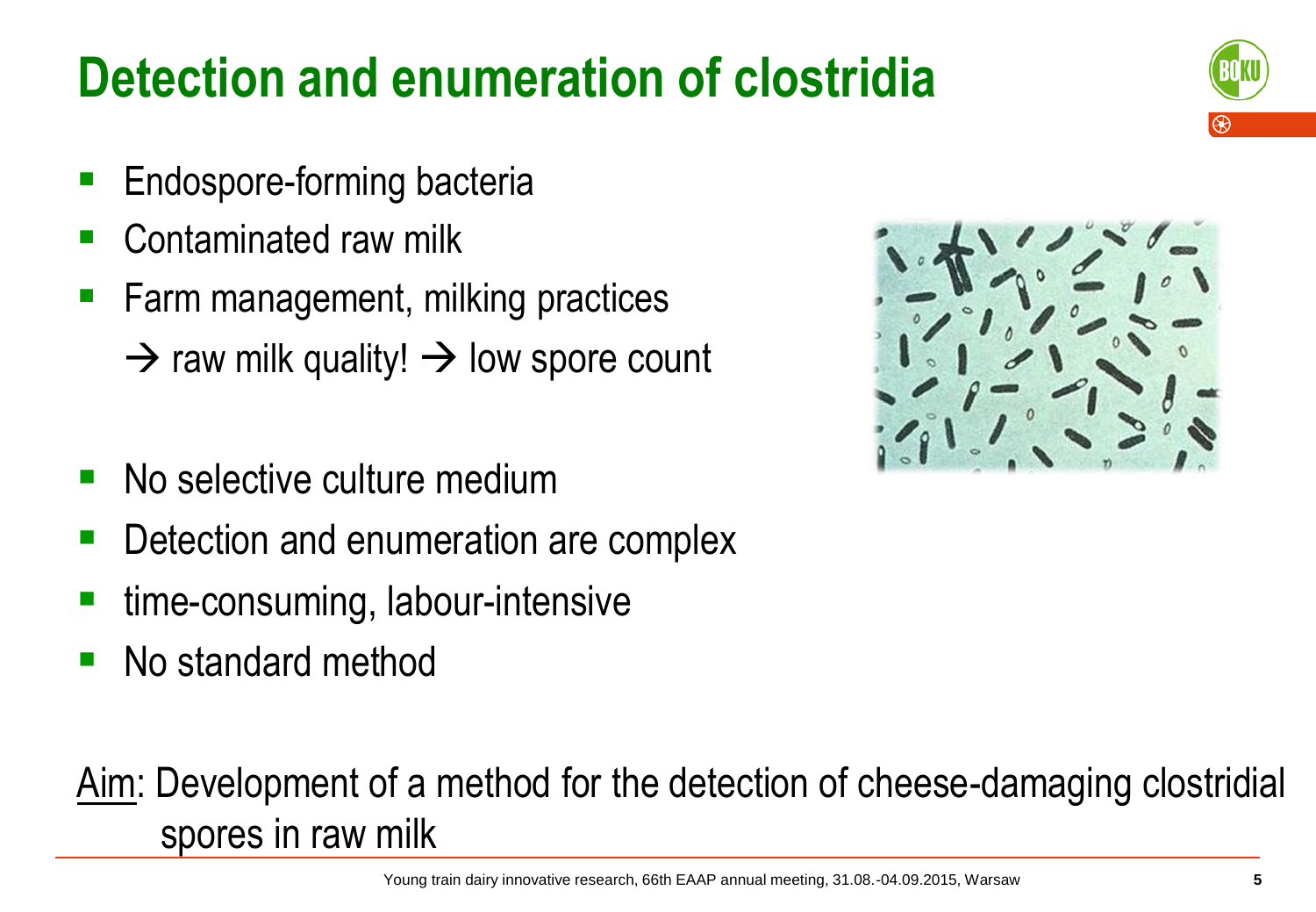## **Detection and enumeration of clostridia**

- Endospore-forming bacteria
- Contaminated raw milk
- Farm management, milking practices  $\rightarrow$  raw milk quality!  $\rightarrow$  low spore count
- No selective culture medium
- Detection and enumeration are complex
- time-consuming, labour-intensive
- No standard method

#### Aim: Development of a method for the detection of cheese-damaging clostridial spores in raw milk





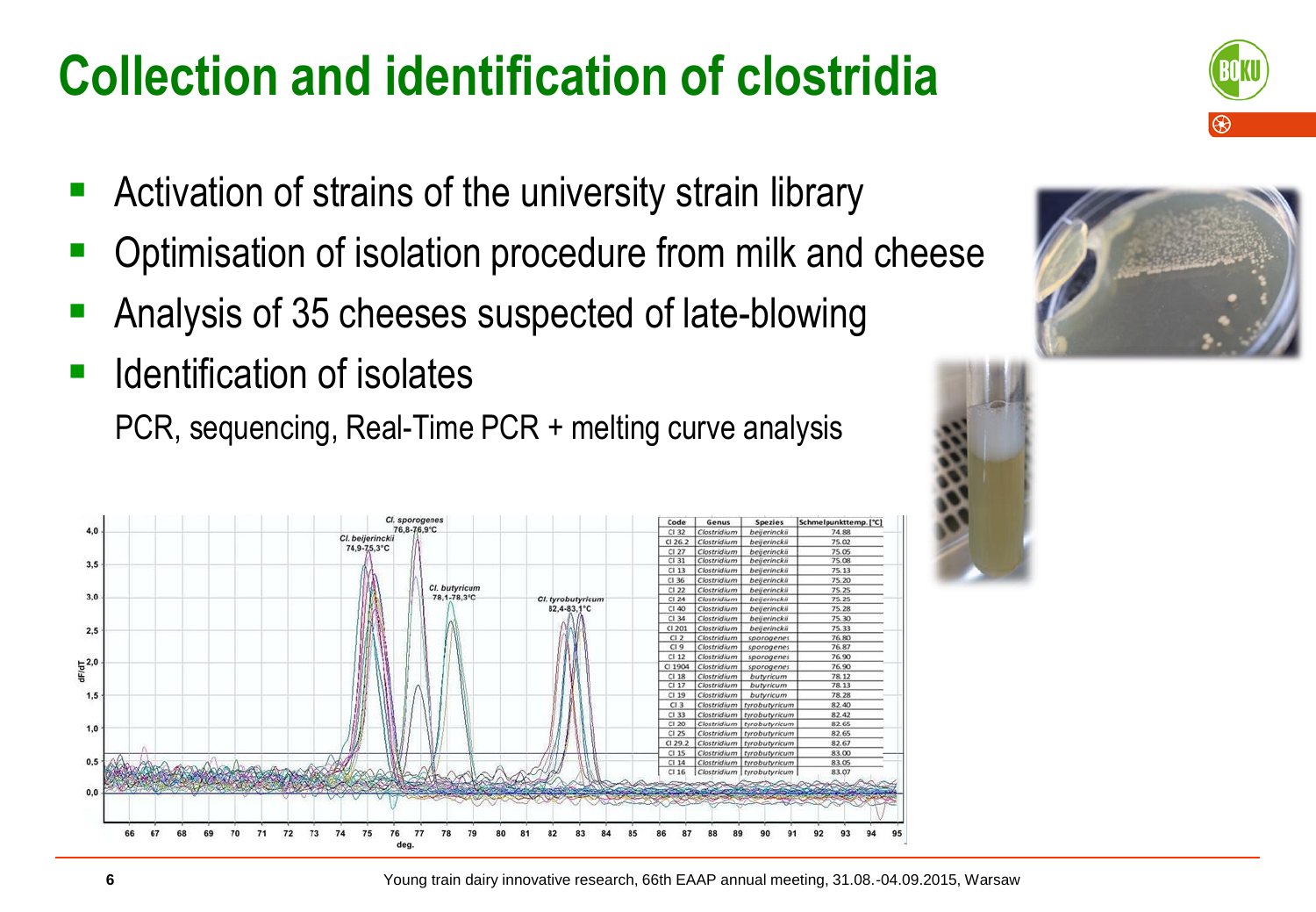## **Collection and identification of clostridia**

- Activation of strains of the university strain library
- Optimisation of isolation procedure from milk and cheese
- Analysis of 35 cheeses suspected of late-blowing
- Identification of isolates PCR, sequencing, Real-Time PCR + melting curve analysis







Young train dairy innovative research, 66th EAAP annual meeting, 31.08.-04.09.2015, Warsaw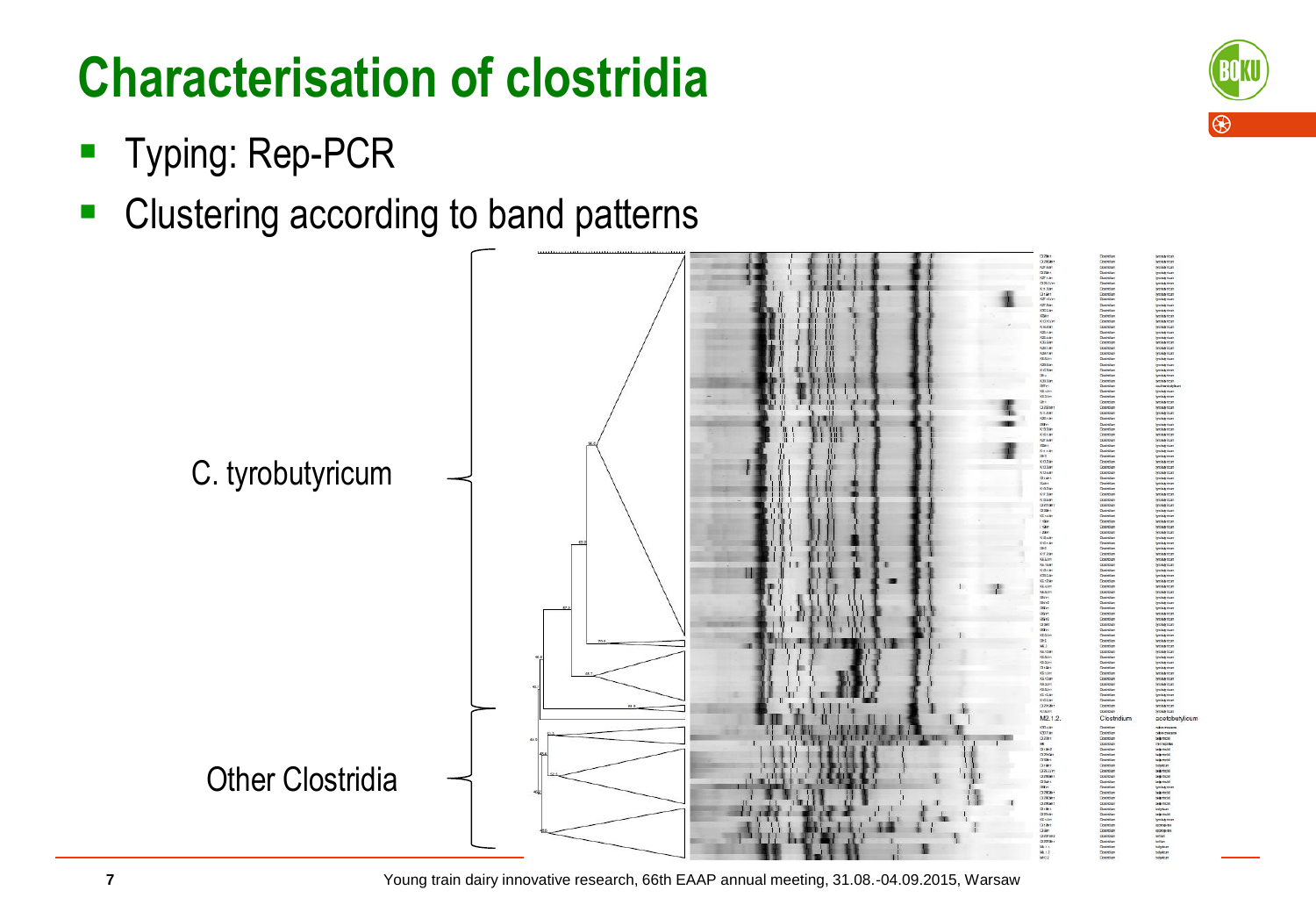## **Characterisation of clostridia**

- **Typing: Rep-PCR**
- Clustering according to band patterns



Young train dairy innovative research, 66th EAAP annual meeting, 31.08.-04.09.2015, Warsaw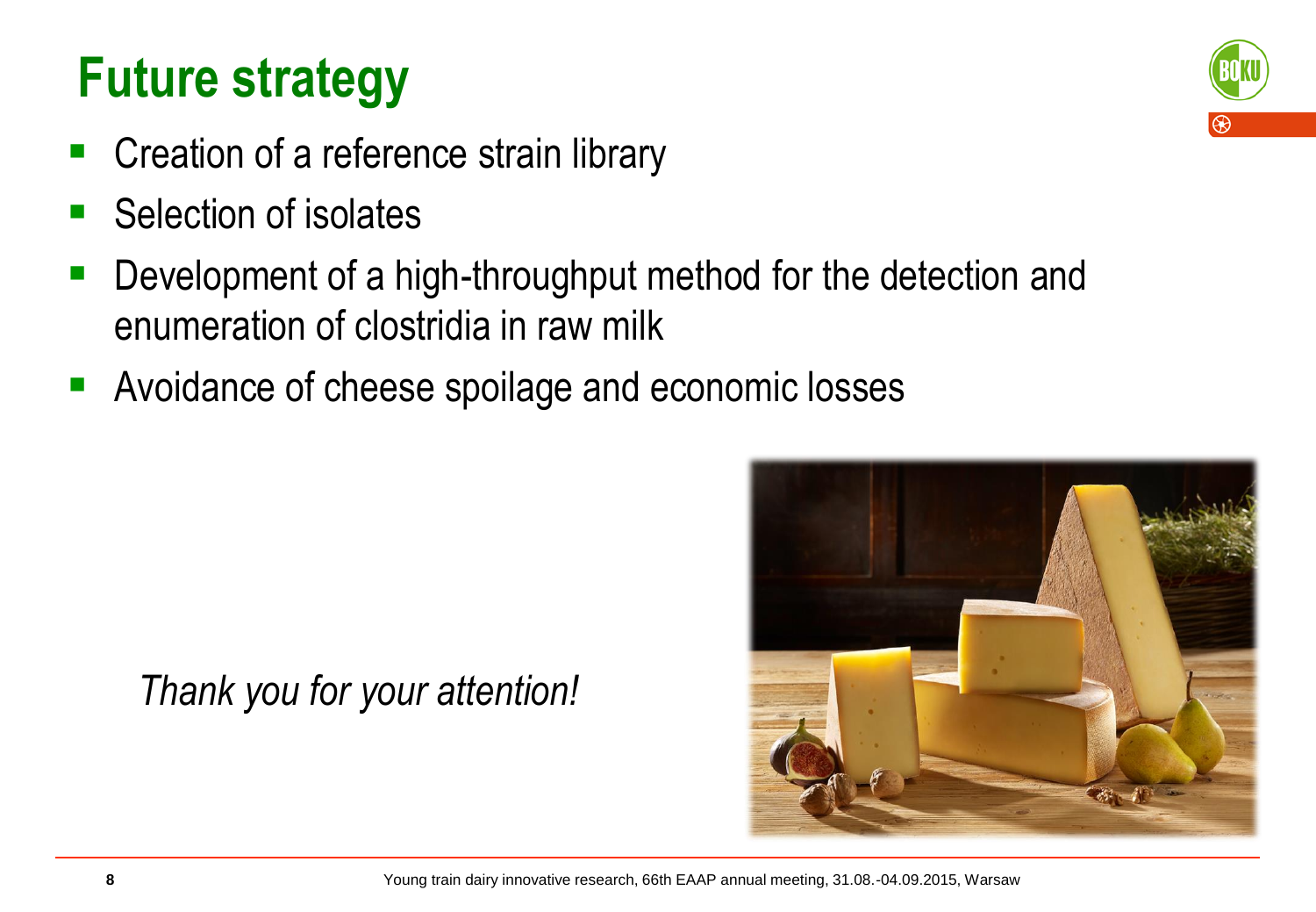#### **Future strategy**

- Creation of a reference strain library
- Selection of isolates
- Development of a high-throughput method for the detection and enumeration of clostridia in raw milk
- Avoidance of cheese spoilage and economic losses





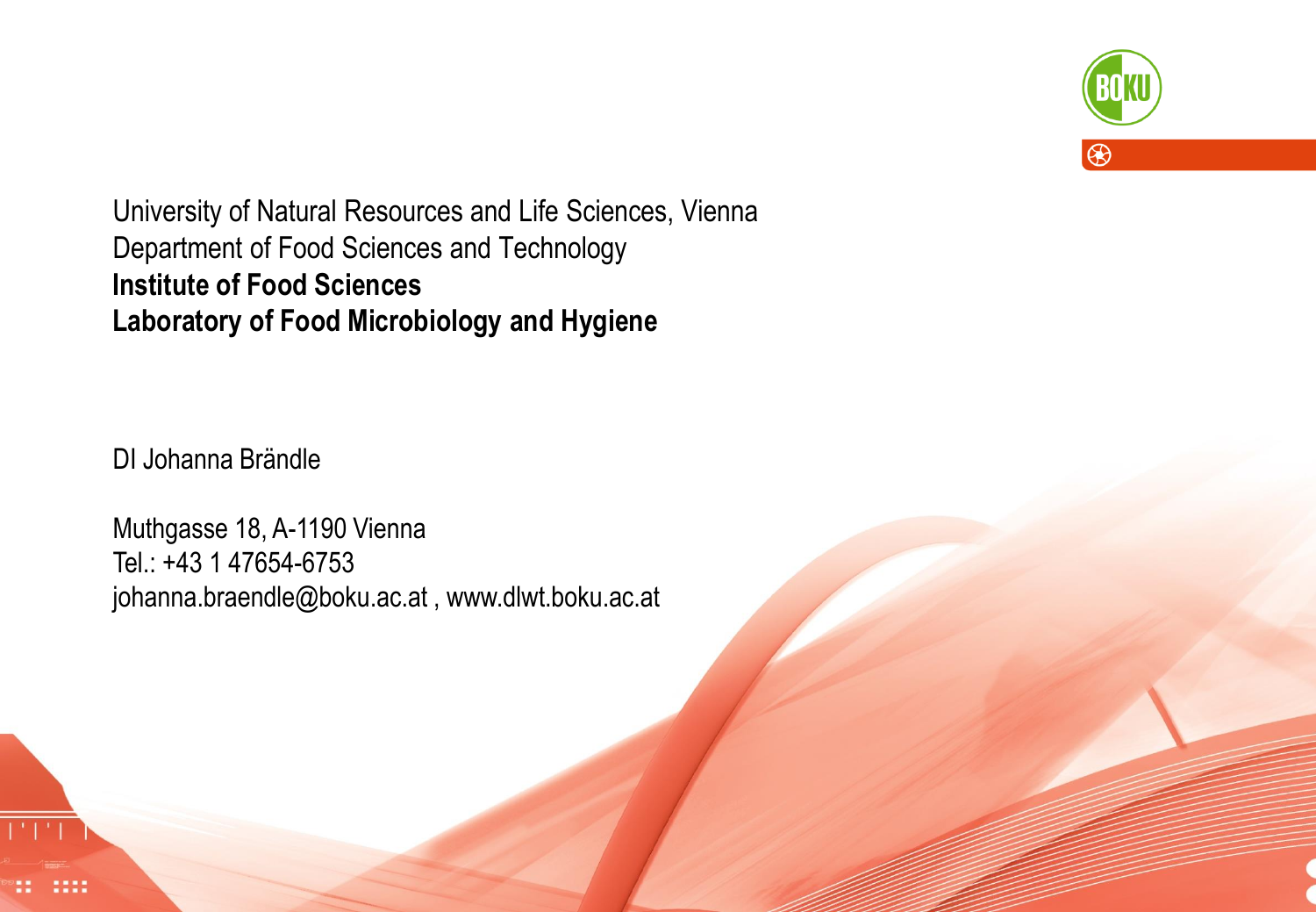

University of Natural Resources and Life Sciences, Vienna Department of Food Sciences and Technology **Institute of Food Sciences Laboratory of Food Microbiology and Hygiene**

DI Johanna Brändle

Muthgasse 18, A-1190 Vienna Tel.: +43 1 47654-6753 johanna.braendle@boku.ac.at , www.dlwt.boku.ac.at

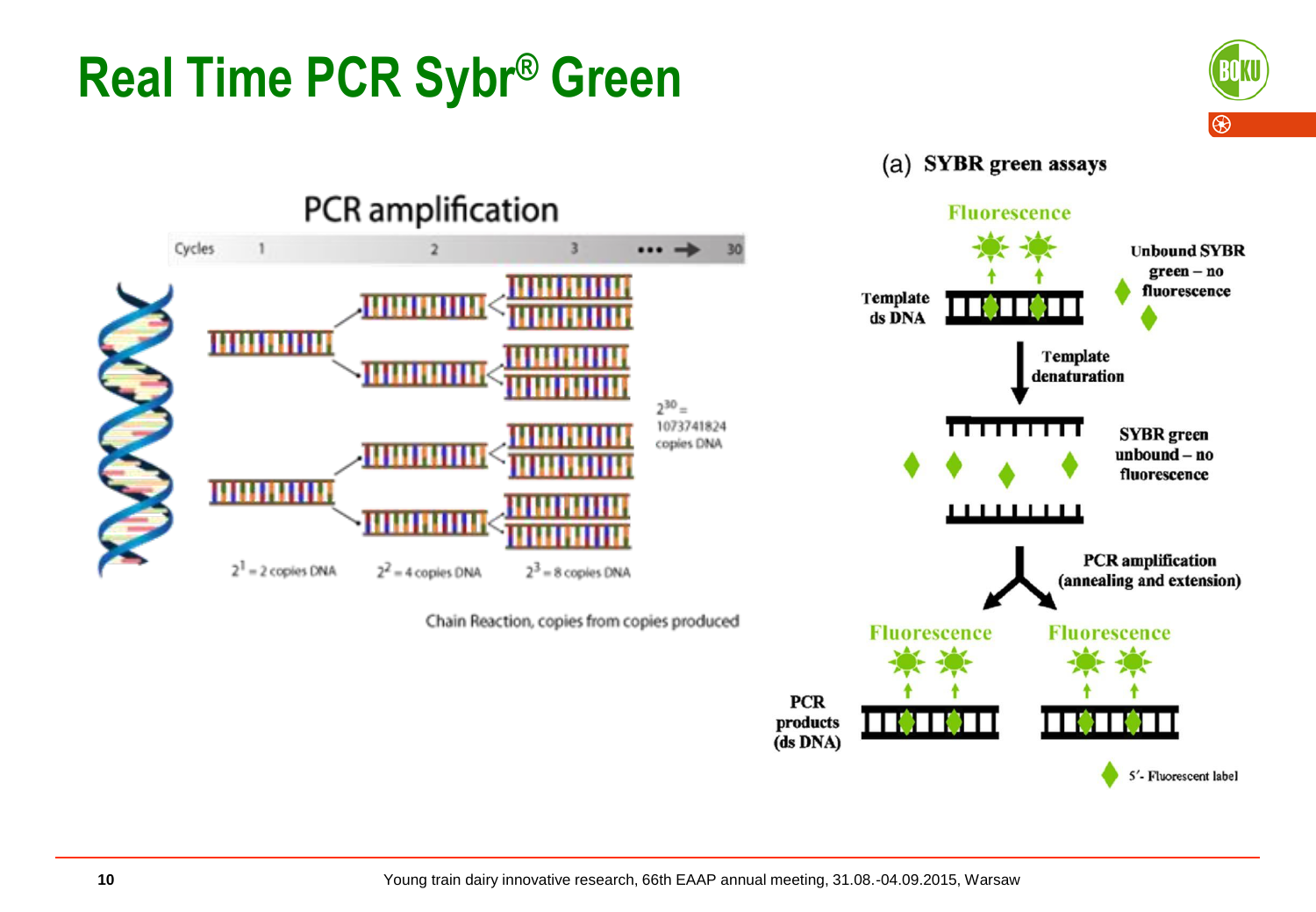# **Real Time PCR Sybr® Green**



(a) SYBR green assays

**Fluorescence** 



Chain Reaction, copies from copies produced